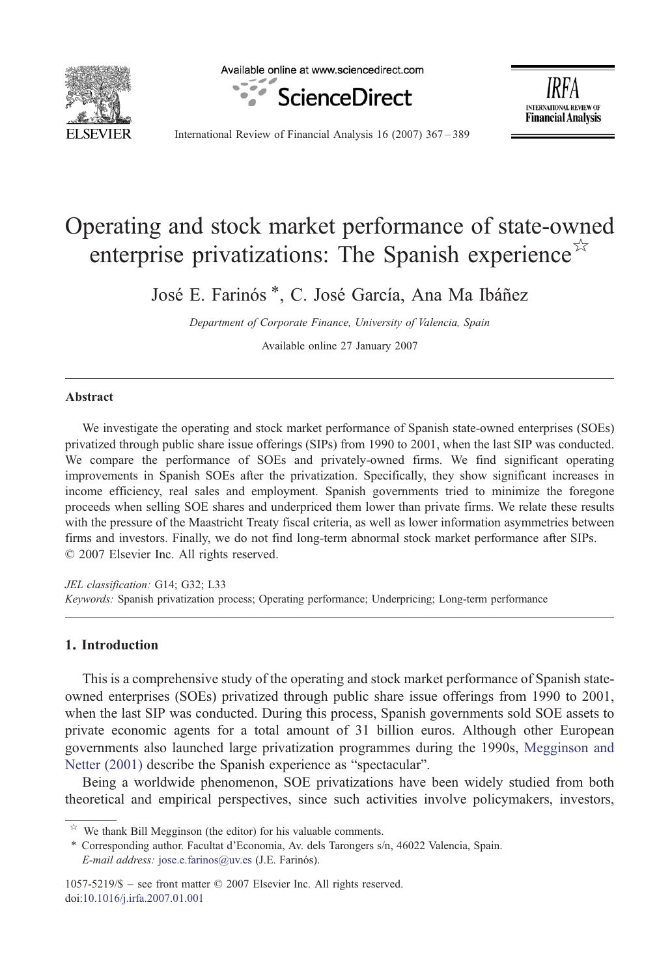

Available online at www.sciencedirect.com





International Review of Financial Analysis 16 (2007) 367–389

## Operating and stock market performance of state-owned enterprise privatizations: The Spanish experience<sup>☆</sup>

José E. Farinós ⁎, C. José García, Ana Ma Ibáñez

Department of Corporate Finance, University of Valencia, Spain

Available online 27 January 2007

## Abstract

We investigate the operating and stock market performance of Spanish state-owned enterprises (SOEs) privatized through public share issue offerings (SIPs) from 1990 to 2001, when the last SIP was conducted. We compare the performance of SOEs and privately-owned firms. We find significant operating improvements in Spanish SOEs after the privatization. Specifically, they show significant increases in income efficiency, real sales and employment. Spanish governments tried to minimize the foregone proceeds when selling SOE shares and underpriced them lower than private firms. We relate these results with the pressure of the Maastricht Treaty fiscal criteria, as well as lower information asymmetries between firms and investors. Finally, we do not find long-term abnormal stock market performance after SIPs. © 2007 Elsevier Inc. All rights reserved.

JEL classification: G14; G32; L33 Keywords: Spanish privatization process; Operating performance; Underpricing; Long-term performance

## 1. Introduction

This is a comprehensive study of the operating and stock market performance of Spanish stateowned enterprises (SOEs) privatized through public share issue offerings from 1990 to 2001, when the last SIP was conducted. During this process, Spanish governments sold SOE assets to private economic agents for a total amount of 31 billion euros. Although other European governments also launched large privatization programmes during the 1990s, [Megginson and](#page--1-0) [Netter \(2001\)](#page--1-0) describe the Spanish experience as "spectacular".

Being a worldwide phenomenon, SOE privatizations have been widely studied from both theoretical and empirical perspectives, since such activities involve policymakers, investors,

1057-5219/\$ – see front matter © 2007 Elsevier Inc. All rights reserved. doi:[10.1016/j.irfa.2007.01.001](http://dx.doi.org/10.1016/j.irfa.2007.01.001)

We thank Bill Megginson (the editor) for his valuable comments.

<sup>⁎</sup> Corresponding author. Facultat d'Economia, Av. dels Tarongers s/n, 46022 Valencia, Spain. E-mail address: [jose.e.farinos@uv.es](mailto:jose.e.farinos@uv.es) (J.E. Farinós).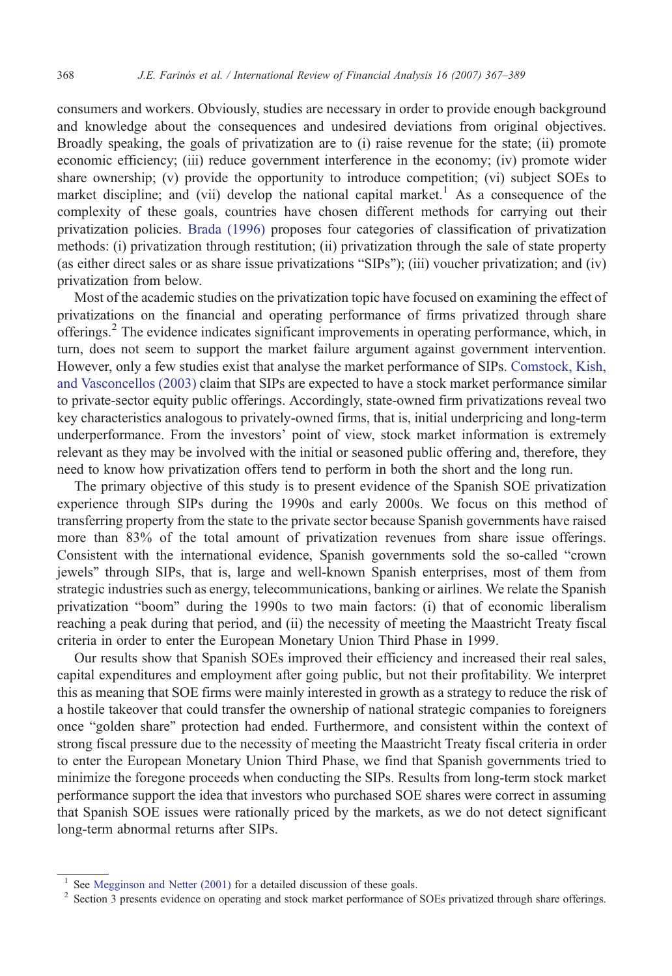consumers and workers. Obviously, studies are necessary in order to provide enough background and knowledge about the consequences and undesired deviations from original objectives. Broadly speaking, the goals of privatization are to (i) raise revenue for the state; (ii) promote economic efficiency; (iii) reduce government interference in the economy; (iv) promote wider share ownership; (v) provide the opportunity to introduce competition; (vi) subject SOEs to market discipline; and (vii) develop the national capital market.<sup>1</sup> As a consequence of the complexity of these goals, countries have chosen different methods for carrying out their privatization policies. [Brada \(1996\)](#page--1-0) proposes four categories of classification of privatization methods: (i) privatization through restitution; (ii) privatization through the sale of state property (as either direct sales or as share issue privatizations "SIPs"); (iii) voucher privatization; and (iv) privatization from below.

Most of the academic studies on the privatization topic have focused on examining the effect of privatizations on the financial and operating performance of firms privatized through share offerings.<sup>2</sup> The evidence indicates significant improvements in operating performance, which, in turn, does not seem to support the market failure argument against government intervention. However, only a few studies exist that analyse the market performance of SIPs. [Comstock, Kish,](#page--1-0) [and Vasconcellos \(2003\)](#page--1-0) claim that SIPs are expected to have a stock market performance similar to private-sector equity public offerings. Accordingly, state-owned firm privatizations reveal two key characteristics analogous to privately-owned firms, that is, initial underpricing and long-term underperformance. From the investors' point of view, stock market information is extremely relevant as they may be involved with the initial or seasoned public offering and, therefore, they need to know how privatization offers tend to perform in both the short and the long run.

The primary objective of this study is to present evidence of the Spanish SOE privatization experience through SIPs during the 1990s and early 2000s. We focus on this method of transferring property from the state to the private sector because Spanish governments have raised more than 83% of the total amount of privatization revenues from share issue offerings. Consistent with the international evidence, Spanish governments sold the so-called "crown jewels" through SIPs, that is, large and well-known Spanish enterprises, most of them from strategic industries such as energy, telecommunications, banking or airlines. We relate the Spanish privatization "boom" during the 1990s to two main factors: (i) that of economic liberalism reaching a peak during that period, and (ii) the necessity of meeting the Maastricht Treaty fiscal criteria in order to enter the European Monetary Union Third Phase in 1999.

Our results show that Spanish SOEs improved their efficiency and increased their real sales, capital expenditures and employment after going public, but not their profitability. We interpret this as meaning that SOE firms were mainly interested in growth as a strategy to reduce the risk of a hostile takeover that could transfer the ownership of national strategic companies to foreigners once "golden share" protection had ended. Furthermore, and consistent within the context of strong fiscal pressure due to the necessity of meeting the Maastricht Treaty fiscal criteria in order to enter the European Monetary Union Third Phase, we find that Spanish governments tried to minimize the foregone proceeds when conducting the SIPs. Results from long-term stock market performance support the idea that investors who purchased SOE shares were correct in assuming that Spanish SOE issues were rationally priced by the markets, as we do not detect significant long-term abnormal returns after SIPs.

<sup>&</sup>lt;sup>1</sup> See [Megginson and Netter \(2001\)](#page--1-0) for a detailed discussion of these goals. <sup>2</sup> Section 3 presents evidence on operating and stock market performance of SOEs privatized through share offerings.